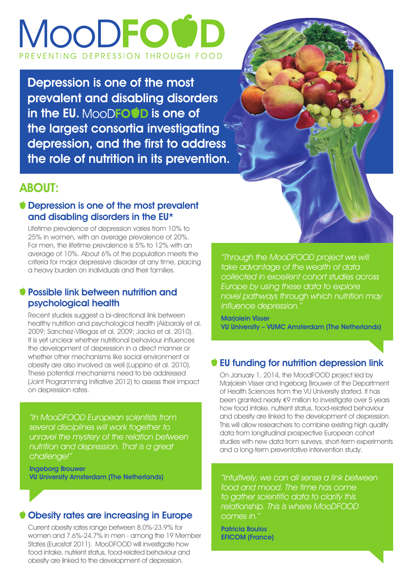# MOODFOU EVENTING DEPRESSION THROUGH FOOD

Depression is one of the most prevalent and disabling disorders in the EU. MooDFO **OD** is one of the largest consortia investigating depression, and the first to address the role of nutrition in its prevention.



#### ABOUT:

#### Depression is one of the most prevalent and disabling disorders in the EU\*

Lifetime prevalence of depression varies from 10% to 25% in women, with an average prevalence of 20%. For men, the lifetime prevalence is 5% to 12% with an average of 10%. About 6% of the population meets the criteria for major depressive disorder at any time, placing a heavy burden on individuals and their families.

#### Possible link between nutrition and psychological health

Recent studies suggest a bi-directional link between healthy nutrition and psychological health (Akbaraly et al. 2009; Sanchez-Villegas et al. 2009; Jacka et al. 2010). It is yet unclear whether nutritional behaviour influences the development of depression in a direct manner or whether other mechanisms like social environment or obesity are also involved as well (Luppino et al. 2010). These potential mechanisms need to be addressed (Joint Programming Initiative 2012) to assess their impact on depression rates.

"In MooDFOOD European scientists from several disciplines will work together to unravel the mystery of the relation between nutrition and depression. That is a great challenge!"

Ingeborg Brouwer VU University Amsterdam (The Netherlands)

#### Obesity rates are increasing in Europe

Current obesity rates range between 8.0%-23.9% for women and 7.6%-24.7% in men - among the 19 Member States (Eurostat 2011). MooDFOOD will investigate how food intake, nutrient status, food-related behaviour and obesity are linked to the development of depression.

"Through the MooDFOOD project we will take advantage of the wealth of data collected in excellent cohort studies across Europe by using these data to explore novel pathways through which nutrition may influence depression."

Marjolein Visser VU University – VUMC Amsterdam (The Netherlands)

#### EU funding for nutrition depression link

On January 1, 2014, the MoodFOOD project led by Marjolein Visser and Ingeborg Brouwer of the Department of Health Sciences from the VU University started. It has been granted nearly €9 million to investigate over 5 years how food intake, nutrient status, food-related behaviour and obesity are linked to the development of depression. This will allow researchers to combine existing high quality data from longitudinal prospective European cohort studies with new data from surveys, short-term experiments and a long-term preventative intervention study.

"Intuitively, we can all sense a link between food and mood. The time has come to gather scientific data to clarify this relationship. This is where MooDFOOD comes in.'

Patricia Boulos EFICOM (France)